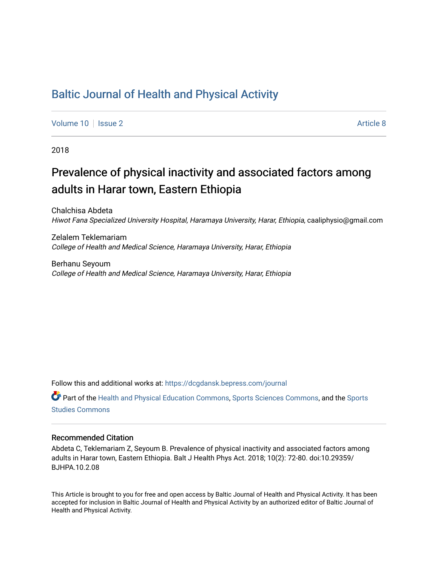## [Baltic Journal of Health and Physical Activity](https://dcgdansk.bepress.com/journal)

[Volume 10](https://dcgdansk.bepress.com/journal/vol10) | [Issue 2](https://dcgdansk.bepress.com/journal/vol10/iss2) Article 8

2018

## Prevalence of physical inactivity and associated factors among adults in Harar town, Eastern Ethiopia

Chalchisa Abdeta Hiwot Fana Specialized University Hospital, Haramaya University, Harar, Ethiopia, caaliphysio@gmail.com

Zelalem Teklemariam College of Health and Medical Science, Haramaya University, Harar, Ethiopia

Berhanu Seyoum College of Health and Medical Science, Haramaya University, Harar, Ethiopia

Follow this and additional works at: [https://dcgdansk.bepress.com/journal](https://dcgdansk.bepress.com/journal?utm_source=dcgdansk.bepress.com%2Fjournal%2Fvol10%2Fiss2%2F8&utm_medium=PDF&utm_campaign=PDFCoverPages)

Part of the [Health and Physical Education Commons](http://network.bepress.com/hgg/discipline/1327?utm_source=dcgdansk.bepress.com%2Fjournal%2Fvol10%2Fiss2%2F8&utm_medium=PDF&utm_campaign=PDFCoverPages), [Sports Sciences Commons](http://network.bepress.com/hgg/discipline/759?utm_source=dcgdansk.bepress.com%2Fjournal%2Fvol10%2Fiss2%2F8&utm_medium=PDF&utm_campaign=PDFCoverPages), and the [Sports](http://network.bepress.com/hgg/discipline/1198?utm_source=dcgdansk.bepress.com%2Fjournal%2Fvol10%2Fiss2%2F8&utm_medium=PDF&utm_campaign=PDFCoverPages)  [Studies Commons](http://network.bepress.com/hgg/discipline/1198?utm_source=dcgdansk.bepress.com%2Fjournal%2Fvol10%2Fiss2%2F8&utm_medium=PDF&utm_campaign=PDFCoverPages) 

#### Recommended Citation

Abdeta C, Teklemariam Z, Seyoum B. Prevalence of physical inactivity and associated factors among adults in Harar town, Eastern Ethiopia. Balt J Health Phys Act. 2018; 10(2): 72-80. doi:10.29359/ BJHPA.10.2.08

This Article is brought to you for free and open access by Baltic Journal of Health and Physical Activity. It has been accepted for inclusion in Baltic Journal of Health and Physical Activity by an authorized editor of Baltic Journal of Health and Physical Activity.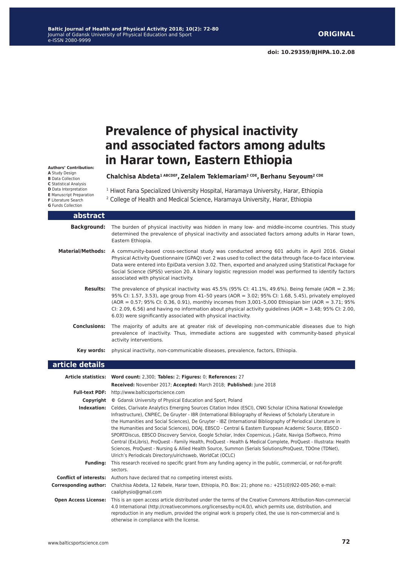# **Prevalence of physical inactivity and associated factors among adults in Harar town, Eastern Ethiopia**

**Authors' Contribution: A** Study Design **B** Data Collection **C** Statistical Analysis **D** Data Interpretation **E** Manuscript Preparation **F** Literature Search **G** Funds Collection

#### **Chalchisa Abdeta1 ABCDEF, Zelalem Teklemariam2 CDE, Berhanu Seyoum2 CDE**

<sup>1</sup> Hiwot Fana Specialized University Hospital, Haramaya University, Harar, Ethiopia

2 College of Health and Medical Science, Haramaya University, Harar, Ethiopia

| abstract                 |                                                                                                                                                                                                                                                                                                                                                                                                                                                                                                |
|--------------------------|------------------------------------------------------------------------------------------------------------------------------------------------------------------------------------------------------------------------------------------------------------------------------------------------------------------------------------------------------------------------------------------------------------------------------------------------------------------------------------------------|
| <b>Background:</b>       | The burden of physical inactivity was hidden in many low- and middle-income countries. This study<br>determined the prevalence of physical inactivity and associated factors among adults in Harar town,<br>Eastern Ethiopia.                                                                                                                                                                                                                                                                  |
| <b>Material/Methods:</b> | A community-based cross-sectional study was conducted among 601 adults in April 2016. Global<br>Physical Activity Questionnaire (GPAQ) ver. 2 was used to collect the data through face-to-face interview.<br>Data were entered into EpiData version 3.02. Then, exported and analyzed using Statistical Package for<br>Social Science (SPSS) version 20. A binary logistic regression model was performed to identify factors<br>associated with physical inactivity.                         |
| <b>Results:</b>          | The prevalence of physical inactivity was 45.5% (95% CI: 41.1%, 49.6%). Being female (AOR = 2.36;<br>95% CI: 1.57, 3.53), age group from 41-50 years (AOR = 3.02; 95% CI: 1.68, 5.45), privately employed<br>(AOR = 0.57; 95% CI: 0.36, 0.91), monthly incomes from 3,001-5,000 Ethiopian birr (AOR = 3.71; 95%<br>CI: 2.09, 6.56) and having no information about physical activity guidelines (AOR = $3.48$ ; 95% CI: 2.00,<br>6.03) were significantly associated with physical inactivity. |
| <b>Conclusions:</b>      | The majority of adults are at greater risk of developing non-communicable diseases due to high<br>prevalence of inactivity. Thus, immediate actions are suggested with community-based physical<br>activity interventions.                                                                                                                                                                                                                                                                     |
| Kev words:               | physical inactivity, non-communicable diseases, prevalence, factors, Ethiopia.                                                                                                                                                                                                                                                                                                                                                                                                                 |
| article details          |                                                                                                                                                                                                                                                                                                                                                                                                                                                                                                |
|                          | Article statistics: Word count: 2,300; Tables: 2; Figures: 0; References: 27<br>Received: November 2017; Accepted: March 2018; Published: June 2018                                                                                                                                                                                                                                                                                                                                            |

- **Full-text PDF:** http://www.balticsportscience.com
	- **Copyright ©** Gdansk University of Physical Education and Sport, Poland

otherwise in compliance with the license.

**Indexation:** Celdes, Clarivate Analytics Emerging Sources Citation Index (ESCI), CNKI Scholar (China National Knowledge Infrastructure), CNPIEC, De Gruyter - IBR (International Bibliography of Reviews of Scholarly Literature in the Humanities and Social Sciences), De Gruyter - IBZ (International Bibliography of Periodical Literature in the Humanities and Social Sciences), DOAJ, EBSCO - Central & Eastern European Academic Source, EBSCO - SPORTDiscus, EBSCO Discovery Service, Google Scholar, Index Copernicus, J-Gate, Naviga (Softweco, Primo Central (ExLibris), ProQuest - Family Health, ProQuest - Health & Medical Complete, ProQuest - Illustrata: Health Sciences, ProQuest - Nursing & Allied Health Source, Summon (Serials Solutions/ProQuest, TDOne (TDNet), Ulrich's Periodicals Directory/ulrichsweb, WorldCat (OCLC)

reproduction in any medium, provided the original work is properly cited, the use is non-commercial and is

- **Funding:** This research received no specific grant from any funding agency in the public, commercial, or not-for-profit sectors. **Conflict of interests:** Authors have declared that no competing interest exists.
- **Corresponding author:** Chalchisa Abdeta, 12 Kebele, Harar town, Ethiopia, P.O. Box: 21; phone no.: +251(0)922-005-260; e-mail: caaliphysio@gmail.com **Open Access License:** This is an open access article distributed under the terms of the Creative Commons Attribution-Non-commercial 4.0 International (http://creativecommons.org/licenses/by-nc/4.0/), which permits use, distribution, and

**72**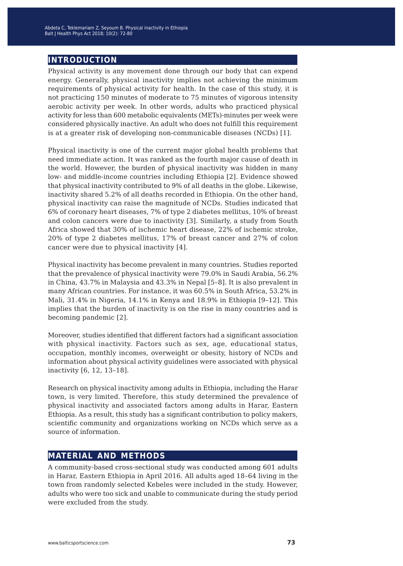## **introduction**

Physical activity is any movement done through our body that can expend energy. Generally, physical inactivity implies not achieving the minimum requirements of physical activity for health. In the case of this study, it is not practicing 150 minutes of moderate to 75 minutes of vigorous intensity aerobic activity per week. In other words, adults who practiced physical activity for less than 600 metabolic equivalents (METs)-minutes per week were considered physically inactive. An adult who does not fulfill this requirement is at a greater risk of developing non-communicable diseases (NCDs) [1].

Physical inactivity is one of the current major global health problems that need immediate action. It was ranked as the fourth major cause of death in the world. However, the burden of physical inactivity was hidden in many low- and middle-income countries including Ethiopia [2]. Evidence showed that physical inactivity contributed to 9% of all deaths in the globe. Likewise, inactivity shared 5.2% of all deaths recorded in Ethiopia. On the other hand, physical inactivity can raise the magnitude of NCDs. Studies indicated that 6% of coronary heart diseases, 7% of type 2 diabetes mellitus, 10% of breast and colon cancers were due to inactivity [3]. Similarly, a study from South Africa showed that 30% of ischemic heart disease, 22% of ischemic stroke, 20% of type 2 diabetes mellitus, 17% of breast cancer and 27% of colon cancer were due to physical inactivity [4].

Physical inactivity has become prevalent in many countries. Studies reported that the prevalence of physical inactivity were 79.0% in Saudi Arabia, 56.2% in China, 43.7% in Malaysia and 43.3% in Nepal [5–8]. It is also prevalent in many African countries. For instance, it was 60.5% in South Africa, 53.2% in Mali, 31.4% in Nigeria, 14.1% in Kenya and 18.9% in Ethiopia [9–12]. This implies that the burden of inactivity is on the rise in many countries and is becoming pandemic [2].

Moreover, studies identified that different factors had a significant association with physical inactivity. Factors such as sex, age, educational status, occupation, monthly incomes, overweight or obesity, history of NCDs and information about physical activity guidelines were associated with physical inactivity [6, 12, 13–18].

Research on physical inactivity among adults in Ethiopia, including the Harar town, is very limited. Therefore, this study determined the prevalence of physical inactivity and associated factors among adults in Harar, Eastern Ethiopia. As a result, this study has a significant contribution to policy makers, scientific community and organizations working on NCDs which serve as a source of information.

### **material and methods**

A community-based cross-sectional study was conducted among 601 adults in Harar, Eastern Ethiopia in April 2016. All adults aged 18–64 living in the town from randomly selected Kebeles were included in the study. However, adults who were too sick and unable to communicate during the study period were excluded from the study.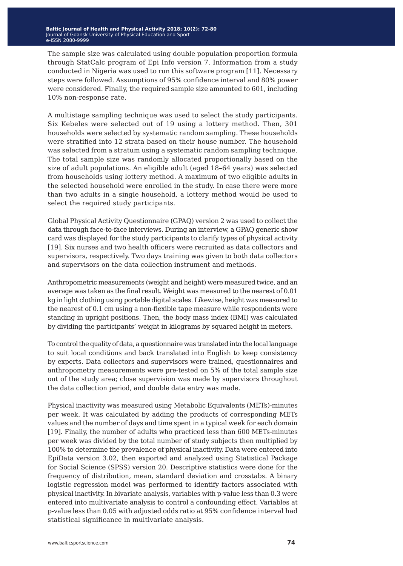The sample size was calculated using double population proportion formula through StatCalc program of Epi Info version 7. Information from a study conducted in Nigeria was used to run this software program [11]. Necessary steps were followed. Assumptions of 95% confidence interval and 80% power were considered. Finally, the required sample size amounted to 601, including 10% non-response rate.

A multistage sampling technique was used to select the study participants. Six Kebeles were selected out of 19 using a lottery method. Then, 301 households were selected by systematic random sampling. These households were stratified into 12 strata based on their house number. The household was selected from a stratum using a systematic random sampling technique. The total sample size was randomly allocated proportionally based on the size of adult populations. An eligible adult (aged 18–64 years) was selected from households using lottery method. A maximum of two eligible adults in the selected household were enrolled in the study. In case there were more than two adults in a single household, a lottery method would be used to select the required study participants.

Global Physical Activity Questionnaire (GPAQ) version 2 was used to collect the data through face-to-face interviews. During an interview, a GPAQ generic show card was displayed for the study participants to clarify types of physical activity [19]. Six nurses and two health officers were recruited as data collectors and supervisors, respectively. Two days training was given to both data collectors and supervisors on the data collection instrument and methods.

Anthropometric measurements (weight and height) were measured twice, and an average was taken as the final result. Weight was measured to the nearest of 0.01 kg in light clothing using portable digital scales. Likewise, height was measured to the nearest of 0.1 cm using a non-flexible tape measure while respondents were standing in upright positions. Then, the body mass index (BMI) was calculated by dividing the participants' weight in kilograms by squared height in meters.

To control the quality of data, a questionnaire was translated into the local language to suit local conditions and back translated into English to keep consistency by experts. Data collectors and supervisors were trained, questionnaires and anthropometry measurements were pre-tested on 5% of the total sample size out of the study area; close supervision was made by supervisors throughout the data collection period, and double data entry was made.

Physical inactivity was measured using Metabolic Equivalents (METs)-minutes per week. It was calculated by adding the products of corresponding METs values and the number of days and time spent in a typical week for each domain [19]. Finally, the number of adults who practiced less than 600 METs-minutes per week was divided by the total number of study subjects then multiplied by 100% to determine the prevalence of physical inactivity. Data were entered into EpiData version 3.02, then exported and analyzed using Statistical Package for Social Science (SPSS) version 20. Descriptive statistics were done for the frequency of distribution, mean, standard deviation and crosstabs. A binary logistic regression model was performed to identify factors associated with physical inactivity. In bivariate analysis, variables with p-value less than 0.3 were entered into multivariate analysis to control a confounding effect. Variables at p-value less than 0.05 with adjusted odds ratio at 95% confidence interval had statistical significance in multivariate analysis.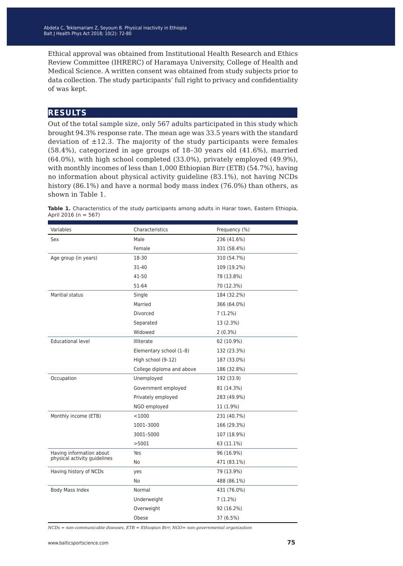Ethical approval was obtained from Institutional Health Research and Ethics Review Committee (IHRERC) of Haramaya University, College of Health and Medical Science. A written consent was obtained from study subjects prior to data collection. The study participants' full right to privacy and confidentiality of was kept.

### **results**

Out of the total sample size, only 567 adults participated in this study which brought 94.3% response rate. The mean age was 33.5 years with the standard deviation of  $\pm$ 12.3. The majority of the study participants were females (58.4%), categorized in age groups of 18–30 years old (41.6%), married (64.0%), with high school completed (33.0%), privately employed (49.9%), with monthly incomes of less than 1,000 Ethiopian Birr (ETB) (54.7%), having no information about physical activity guideline (83.1%), not having NCDs history (86.1%) and have a normal body mass index (76.0%) than others, as shown in Table 1.

| Variables                    | Characteristics           | Frequency (%) |
|------------------------------|---------------------------|---------------|
| Sex                          | Male                      | 236 (41.6%)   |
|                              | Female                    | 331 (58.4%)   |
| Age group (in years)         | 18-30                     | 310 (54.7%)   |
|                              | 31-40                     | 109 (19.2%)   |
|                              | 41-50                     | 78 (13.8%)    |
|                              | 51-64                     | 70 (12.3%)    |
| Maritial status              | Single                    | 184 (32.2%)   |
|                              | Married                   | 366 (64.0%)   |
|                              | Divorced                  | 7 (1.2%)      |
|                              | Separated                 | 13 (2.3%)     |
|                              | Widowed                   | $2(0.3\%)$    |
| <b>Educational level</b>     | <b>Illiterate</b>         | 62 (10.9%)    |
|                              | Elementary school (1-8)   | 132 (23.3%)   |
|                              | High school (9-12)        | 187 (33.0%)   |
|                              | College diploma and above | 186 (32.8%)   |
| Occupation                   | Unemployed                | 192 (33.9)    |
|                              | Government employed       | 81 (14.3%)    |
|                              | Privately employed        | 283 (49.9%)   |
|                              | NGO employed              | 11 (1.9%)     |
| Monthly income (ETB)         | $<$ 1000                  | 231 (40.7%)   |
|                              | 1001-3000                 | 166 (29.3%)   |
|                              | 3001-5000                 | 107 (18.9%)   |
|                              | >5001                     | 63 (11.1%)    |
| Having information about     | Yes                       | 96 (16.9%)    |
| physical activity guidelines | No                        | 471 (83.1%)   |
| Having history of NCDs       | yes                       | 79 (13.9%)    |
|                              | No                        | 488 (86.1%)   |
| Body Mass Index              | Normal                    | 431 (76.0%)   |
|                              | Underweight               | $7(1.2\%)$    |
|                              | Overweight                | 92 (16.2%)    |
|                              | Obese                     | 37 (6.5%)     |

**Table 1.** Characteristics of the study participants among adults in Harar town, Eastern Ethiopia, April 2016 (n = 567)

*NCDs = non-communicable diseases, ETB = Ethiopian Birr, NGO= non-governmental organization*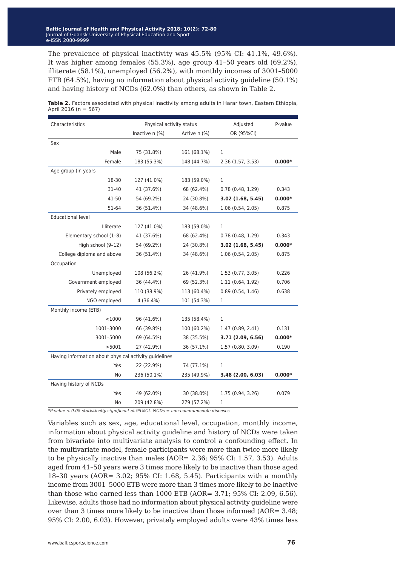The prevalence of physical inactivity was 45.5% (95% CI: 41.1%, 49.6%). It was higher among females (55.3%), age group 41–50 years old (69.2%), illiterate (58.1%), unemployed (56.2%), with monthly incomes of 3001–5000 ETB (64.5%), having no information about physical activity guideline (50.1%) and having history of NCDs (62.0%) than others, as shown in Table 2.

| Characteristics                                       | Physical activity status |              | Adjusted          | P-value  |  |  |  |
|-------------------------------------------------------|--------------------------|--------------|-------------------|----------|--|--|--|
|                                                       | Inactive n (%)           | Active n (%) | OR (95%CI)        |          |  |  |  |
| Sex                                                   |                          |              |                   |          |  |  |  |
| Male                                                  | 75 (31.8%)               | 161 (68.1%)  | 1                 |          |  |  |  |
| Female                                                | 183 (55.3%)              | 148 (44.7%)  | 2.36 (1.57, 3.53) | $0.000*$ |  |  |  |
| Age group (in years                                   |                          |              |                   |          |  |  |  |
| 18-30                                                 | 127 (41.0%)              | 183 (59.0%)  | 1                 |          |  |  |  |
| 31-40                                                 | 41 (37.6%)               | 68 (62.4%)   | 0.78(0.48, 1.29)  | 0.343    |  |  |  |
| 41-50                                                 | 54 (69.2%)               | 24 (30.8%)   | 3.02(1.68, 5.45)  | $0.000*$ |  |  |  |
| 51-64                                                 | 36 (51.4%)               | 34 (48.6%)   | 1.06 (0.54, 2.05) | 0.875    |  |  |  |
| <b>Educational level</b>                              |                          |              |                   |          |  |  |  |
| <b>Illiterate</b>                                     | 127 (41.0%)              | 183 (59.0%)  | 1                 |          |  |  |  |
| Elementary school (1-8)                               | 41 (37.6%)               | 68 (62.4%)   | 0.78(0.48, 1.29)  | 0.343    |  |  |  |
| High school (9-12)                                    | 54 (69.2%)               | 24 (30.8%)   | 3.02(1.68, 5.45)  | $0.000*$ |  |  |  |
| College diploma and above                             | 36 (51.4%)               | 34 (48.6%)   | 1.06 (0.54, 2.05) | 0.875    |  |  |  |
| Occupation                                            |                          |              |                   |          |  |  |  |
| Unemployed                                            | 108 (56.2%)              | 26 (41.9%)   | 1.53 (0.77, 3.05) | 0.226    |  |  |  |
| Government employed                                   | 36 (44.4%)               | 69 (52.3%)   | 1.11(0.64, 1.92)  | 0.706    |  |  |  |
| Privately employed                                    | 110 (38.9%)              | 113 (60.4%)  | 0.89(0.54, 1.46)  | 0.638    |  |  |  |
| NGO employed                                          | 4 (36.4%)                | 101 (54.3%)  | 1                 |          |  |  |  |
| Monthly income (ETB)                                  |                          |              |                   |          |  |  |  |
| $<$ 1000                                              | 96 (41.6%)               | 135 (58.4%)  | 1                 |          |  |  |  |
| 1001-3000                                             | 66 (39.8%)               | 100 (60.2%)  | 1.47 (0.89, 2.41) | 0.131    |  |  |  |
| 3001-5000                                             | 69 (64.5%)               | 38 (35.5%)   | 3.71 (2.09, 6.56) | $0.000*$ |  |  |  |
| >5001                                                 | 27 (42.9%)               | 36 (57.1%)   | 1.57 (0.80, 3.09) | 0.190    |  |  |  |
| Having information about physical activity quidelines |                          |              |                   |          |  |  |  |
| Yes                                                   | 22 (22.9%)               | 74 (77.1%)   | 1                 |          |  |  |  |
| No                                                    | 236 (50.1%)              | 235 (49.9%)  | 3.48(2.00, 6.03)  | $0.000*$ |  |  |  |
| Having history of NCDs                                |                          |              |                   |          |  |  |  |
| Yes                                                   | 49 (62.0%)               | 30 (38.0%)   | 1.75 (0.94, 3.26) | 0.079    |  |  |  |
| No                                                    | 209 (42.8%)              | 279 (57.2%)  | 1                 |          |  |  |  |

**Table 2.** Factors associated with physical inactivity among adults in Harar town, Eastern Ethiopia, April 2016 (n = 567)

*\*P-value < 0.05 statistically significant at 95%CI. NCDs = non-communicable diseases*

Variables such as sex, age, educational level, occupation, monthly income, information about physical activity guideline and history of NCDs were taken from bivariate into multivariate analysis to control a confounding effect. In the multivariate model, female participants were more than twice more likely to be physically inactive than males (AOR= 2.36; 95% CI: 1.57, 3.53). Adults aged from 41–50 years were 3 times more likely to be inactive than those aged 18–30 years (AOR= 3.02; 95% CI: 1.68, 5.45). Participants with a monthly income from 3001–5000 ETB were more than 3 times more likely to be inactive than those who earned less than 1000 ETB (AOR= 3.71; 95% CI: 2.09, 6.56). Likewise, adults those had no information about physical activity guideline were over than 3 times more likely to be inactive than those informed (AOR= 3.48; 95% CI: 2.00, 6.03). However, privately employed adults were 43% times less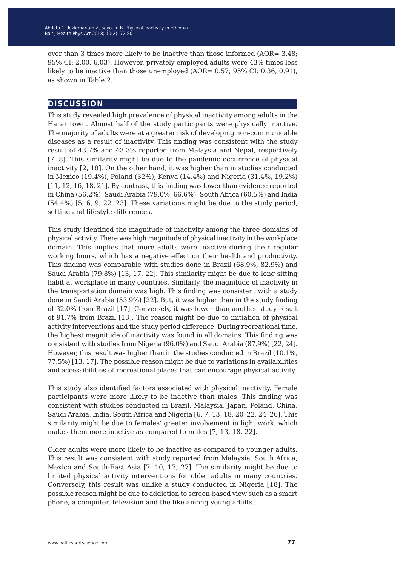over than 3 times more likely to be inactive than those informed (AOR= 3.48; 95% CI: 2.00, 6.03). However, privately employed adults were 43% times less likely to be inactive than those unemployed (AOR=  $0.57$ ; 95% CI: 0.36, 0.91), as shown in Table 2.

#### **discussion**

This study revealed high prevalence of physical inactivity among adults in the Harar town. Almost half of the study participants were physically inactive. The majority of adults were at a greater risk of developing non-communicable diseases as a result of inactivity. This finding was consistent with the study result of 43.7% and 43.3% reported from Malaysia and Nepal, respectively [7, 8]. This similarity might be due to the pandemic occurrence of physical inactivity [2, 18]. On the other hand, it was higher than in studies conducted in Mexico (19.4%), Poland (32%), Kenya (14.4%) and Nigeria (31.4%, 19.2%) [11, 12, 16, 18, 21]. By contrast, this finding was lower than evidence reported in China (56.2%), Saudi Arabia (79.0%, 66.6%), South Africa (60.5%) and India (54.4%) [5, 6, 9, 22, 23]. These variations might be due to the study period, setting and lifestyle differences.

This study identified the magnitude of inactivity among the three domains of physical activity. There was high magnitude of physical inactivity in the workplace domain. This implies that more adults were inactive during their regular working hours, which has a negative effect on their health and productivity. This finding was comparable with studies done in Brazil (68.9%, 82.9%) and Saudi Arabia (79.8%) [13, 17, 22]. This similarity might be due to long sitting habit at workplace in many countries. Similarly, the magnitude of inactivity in the transportation domain was high. This finding was consistent with a study done in Saudi Arabia (53.9%) [22]. But, it was higher than in the study finding of 32.0% from Brazil [17]. Conversely, it was lower than another study result of 91.7% from Brazil [13]. The reason might be due to initiation of physical activity interventions and the study period difference. During recreational time, the highest magnitude of inactivity was found in all domains. This finding was consistent with studies from Nigeria (96.0%) and Saudi Arabia (87.9%) [22, 24]. However, this result was higher than in the studies conducted in Brazil (10.1%, 77.5%) [13, 17]. The possible reason might be due to variations in availabilities and accessibilities of recreational places that can encourage physical activity.

This study also identified factors associated with physical inactivity. Female participants were more likely to be inactive than males. This finding was consistent with studies conducted in Brazil, Malaysia, Japan, Poland, China, Saudi Arabia, India, South Africa and Nigeria [6, 7, 13, 18, 20–22, 24–26]. This similarity might be due to females' greater involvement in light work, which makes them more inactive as compared to males [7, 13, 18, 22].

Older adults were more likely to be inactive as compared to younger adults. This result was consistent with study reported from Malaysia, South Africa, Mexico and South-East Asia [7, 10, 17, 27]. The similarity might be due to limited physical activity interventions for older adults in many countries. Conversely, this result was unlike a study conducted in Nigeria [18]. The possible reason might be due to addiction to screen-based view such as a smart phone, a computer, television and the like among young adults.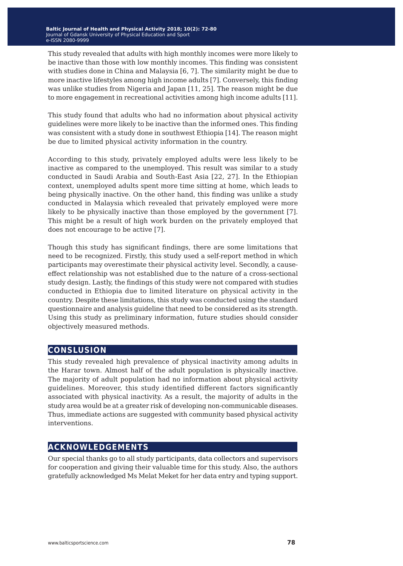This study revealed that adults with high monthly incomes were more likely to be inactive than those with low monthly incomes. This finding was consistent with studies done in China and Malaysia [6, 7]. The similarity might be due to more inactive lifestyles among high income adults [7]. Conversely, this finding was unlike studies from Nigeria and Japan [11, 25]. The reason might be due to more engagement in recreational activities among high income adults [11].

This study found that adults who had no information about physical activity guidelines were more likely to be inactive than the informed ones. This finding was consistent with a study done in southwest Ethiopia [14]. The reason might be due to limited physical activity information in the country.

According to this study, privately employed adults were less likely to be inactive as compared to the unemployed. This result was similar to a study conducted in Saudi Arabia and South-East Asia [22, 27]. In the Ethiopian context, unemployed adults spent more time sitting at home, which leads to being physically inactive. On the other hand, this finding was unlike a study conducted in Malaysia which revealed that privately employed were more likely to be physically inactive than those employed by the government [7]. This might be a result of high work burden on the privately employed that does not encourage to be active [7].

Though this study has significant findings, there are some limitations that need to be recognized. Firstly, this study used a self-report method in which participants may overestimate their physical activity level. Secondly, a causeeffect relationship was not established due to the nature of a cross-sectional study design. Lastly, the findings of this study were not compared with studies conducted in Ethiopia due to limited literature on physical activity in the country. Despite these limitations, this study was conducted using the standard questionnaire and analysis guideline that need to be considered as its strength. Using this study as preliminary information, future studies should consider objectively measured methods.

### **conslusion**

This study revealed high prevalence of physical inactivity among adults in the Harar town. Almost half of the adult population is physically inactive. The majority of adult population had no information about physical activity guidelines. Moreover, this study identified different factors significantly associated with physical inactivity. As a result, the majority of adults in the study area would be at a greater risk of developing non-communicable diseases. Thus, immediate actions are suggested with community based physical activity interventions.

## **acknowledgements**

Our special thanks go to all study participants, data collectors and supervisors for cooperation and giving their valuable time for this study. Also, the authors gratefully acknowledged Ms Melat Meket for her data entry and typing support.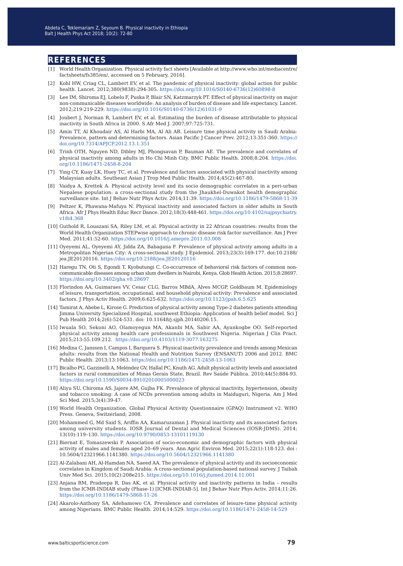#### **references**

- [1] World Health Organization. Physical activity fact sheets [Available at http://www.who.int/mediacentre/ factsheets/fs385/en/, accessed on 5 February, 2016].
- [2] Kohl HW, Criag CL, Lambert EV, et al. The pandemic of physical inactivity: global action for public health. Lancet. 2012;380(9838):294-305. [https://doi.org/10.1016/S0140-6736\(12\)60898-8](https://doi.org/10.1016/S0140-6736(12)60898-8)
- [3] Lee IM, Shiroma EJ, Lobelo F, Puska P, Blair SN, Katzmarzyk PT. Effect of physical inactivity on major non-communicable diseases worldwide: An analysis of burden of disease and life expectancy. Lancet. 2012;219:219-229. [https://doi.org/10.1016/S0140-6736\(12\)61031-9](https://doi.org/10.1016/S0140-6736(12)61031-9)
- [4] Joubert J, Norman R, Lambert EV, et al. Estimating the burden of disease attributable to physical inactivity in South Africa in 2000. S Afr Med J. 2007;97:725-731.
- [5] Amin TT, Al Khoudair AS, Al Harbi MA, Al Ali AR. Leisure time physical activity in Saudi Arabia: Prevalence, pattern and determining factors. Asian Pacific J Cancer Prev. 2012;13:351-360. [https://](https://doi.org/10.7314/APJCP.2012.13.1.351) [doi.org/10.7314/APJCP.2012.13.1.351](https://doi.org/10.7314/APJCP.2012.13.1.351)
- [6] Trinh OTH, Nguyen ND, Dibley MJ, Phongsavan P, Bauman AE. The prevalence and correlates of physical inactivity among adults in Ho Chi Minh City. BMC Public Health. 2008;8:204. [https://doi.](https://doi.org/10.1186/1471-2458-8-204) [org/10.1186/1471-2458-8-204](https://doi.org/10.1186/1471-2458-8-204)
- [7] Ying CY, Kuay LK, Huey TC, et al. Prevalence and factors associated with physical inactivity among Malaysian adults. Southeast Asian J Trop Med Public Health. 2014;45(2):467-80.
- [8] Vaidya A, Krettek A. Physical activity level and its socio demographic correlates in a peri-urban Nepalese population: a cross-sectional study from the Jhaukhel-Duwakot health demographic surveillance site. Int J Behav Nutr Phys Activ. 2014;11:39. <https://doi.org/10.1186/1479-5868-11-39>
- [9] Peltzer K, Phawana-Mafuya N. Physical inactivity and associated factors in older adults in South Africa. Afr J Phys Health Educ Recr Dance. 2012;18(3):448-461. [https://doi.org/10.4102/sajpsychiatry.](https://doi.org/10.4102/sajpsychiatry.v18i4.368) [v18i4.368](https://doi.org/10.4102/sajpsychiatry.v18i4.368)
- [10] Guthold R, Louazani SA, Riley LM, et al. Physical activity in 22 African countries: results from the World Health Organization STEPwise approach to chronic disease risk factor surveillance. Am J Prev Med. 2011;41:52-60. <https://doi.org/10.1016/j.amepre.2011.03.008>
- [11] Oyeyemi AL, Oyeyemi AY, Jidda ZA, Babagana F. Prevalence of physical activity among adults in a Metropolitan Nigerian City: A cross-sectional study. J Epidemiol. 2013;23(3):169-177. doi:10.2188/ jea.JE20120116. <https://doi.org/10.2188/jea.JE20120116>
- [12] Haregu TN, Oti S, Egondi T, Kyobutungi C. Co-occurrence of behavioral risk factors of common noncommunicable diseases among urban slum dwellers in Nairobi, Kenya. Glob Health Action. 2015;8:28697. <https://doi.org/10.3402/gha.v8.28697>
- [13] Florindon AA, Guimaraes VV, Cesar CLG, Barros MBdA, Alves MCGP, Goldbaum M. Epidemiology of leisure, transportation, occupational, and household physical activity: Prevalence and associated factors. J Phys Activ Health. 2009;6:625-632.<https://doi.org/10.1123/jpah.6.5.625>
- [14] Tamirat A, Abebe L, Kirose G. Prediction of physical activity among Type-2 diabetes patients attending Jimma University Specialized Hospital, southwest Ethiopia: Application of health belief model. Sci J Pub Health 2014;2(6):524-531. doi: 10.11648/j.sjph.20140206.15.
- [15] Iwuala SO, Sekoni AO, Olamoyegun MA, Akanbi MA, Sabir AA, Ayankogbe OO. Self-reported physical activity among health care professionals in Southwest Nigeria. Nigerian J Clin Pract. 2015;213:55.109.212. <https://doi.org/10.4103/1119-3077.163275>
- [16] Medina C, Janssen I, Campos I, Barquera S. Physical inactivity prevalence and trends among Mexican adults: results from the National Health and Nutrition Survey (ENSANUT) 2006 and 2012. BMC Public Health. 2013;13:1063. <https://doi.org/10.1186/1471-2458-13-1063>
- [17] Bicalho PG, Gazzinelli A, Meléndez GV, Hallal PC, Knuth AG. Adult physical activity levels and associated factors in rural communities of Minas Gerais State, Brazil. Rev Saúde Pública. 2010;44(5):884-93. <https://doi.org/10.1590/S0034-89102010005000023>
- [18] Aliyu SU, Chiroma AS, Jajere AM, Gujba FK. Prevalence of physical inactivity, hypertension, obesity and tobacco smoking: A case of NCDs prevention among adults in Maiduguri, Nigeria. Am J Med Sci Med. 2015;3(4):39-47.
- [19] World Health Organization. Global Physical Activity Questionnaire (GPAQ) Instrument v2. WHO Press. Geneva, Switzerland; 2008.
- [20] Mohammed G, Md Said S, Ariffin AA, Kamaruzaman J. Physical inactivity and its associated factors among university students. IOSR Journal of Dental and Medical Sciences (IOSR-JDMS). 2014; 13(10):119–130. <https://doi.org/10.9790/0853-13101119130>
- [21] Biernat E, Tomaszewski P. Association of socio-economic and demographic factors with physical activity of males and females aged 20–69 years. Ann Agric Environ Med. 2015;22(1):118-123. doi : 10.5604/12321966.1141380. <https://doi.org/10.5604/12321966.1141380>
- [22] Al-Zalabani AH, Al-Hamdan NA, Saeed AA. The prevalence of physical activity and its socioeconomic correlates in Kingdom of Saudi Arabia: A cross-sectional population-based national survey. J Taibah Univ Med Sci. 2015;10(2):208e215. <https://doi.org/10.1016/j.jtumed.2014.11.001>
- [23] Anjana RM, Pradeepa R, Das AK, et al. Physical activity and inactivity patterns in India results from the ICMR-INDIAB study (Phase-1) [ICMR-INDIAB-5]. Int J Behav Nutr Phys Activ. 2014;11:26. <https://doi.org/10.1186/1479-5868-11-26>
- [24] Akarolo-Anthony SA, Adebamowo CA. Prevalence and correlates of leisure-time physical activity among Nigerians. BMC Public Health. 2014;14:529. <https://doi.org/10.1186/1471-2458-14-529>